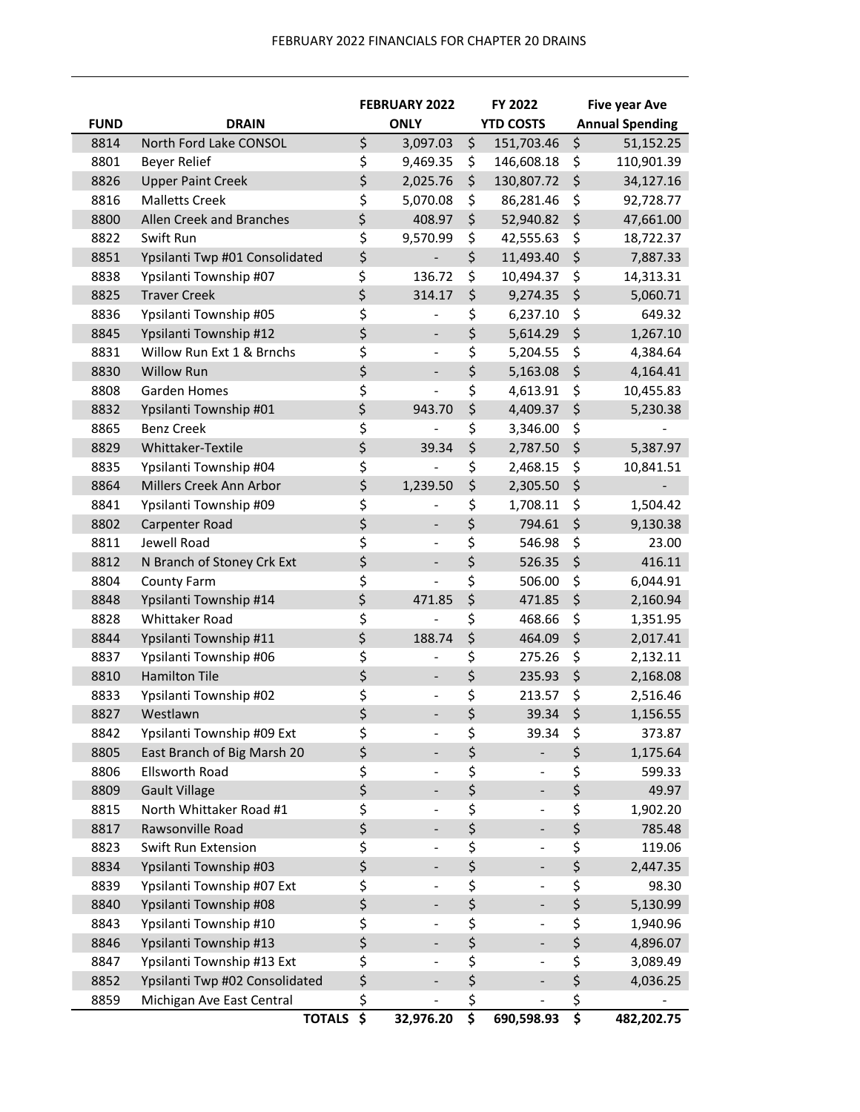|             |                                | <b>FEBRUARY 2022</b> |                          | FY 2022                                                    |         | <b>Five year Ave</b>   |  |
|-------------|--------------------------------|----------------------|--------------------------|------------------------------------------------------------|---------|------------------------|--|
| <b>FUND</b> | <b>DRAIN</b>                   |                      | <b>ONLY</b>              | <b>YTD COSTS</b>                                           |         | <b>Annual Spending</b> |  |
| 8814        | North Ford Lake CONSOL         | \$                   | 3,097.03                 | \$<br>151,703.46                                           | \$      | 51,152.25              |  |
| 8801        | <b>Beyer Relief</b>            | \$                   | 9,469.35                 | \$<br>146,608.18                                           | \$      | 110,901.39             |  |
| 8826        | <b>Upper Paint Creek</b>       | \$                   | 2,025.76                 | \$<br>130,807.72                                           | \$      | 34,127.16              |  |
| 8816        | <b>Malletts Creek</b>          | \$                   | 5,070.08                 | \$<br>86,281.46                                            | \$      | 92,728.77              |  |
| 8800        | Allen Creek and Branches       | \$                   | 408.97                   | \$<br>52,940.82                                            | \$      | 47,661.00              |  |
| 8822        | Swift Run                      | \$                   | 9,570.99                 | \$<br>42,555.63                                            | \$      | 18,722.37              |  |
| 8851        | Ypsilanti Twp #01 Consolidated | \$                   |                          | \$<br>11,493.40                                            | \$      | 7,887.33               |  |
| 8838        | Ypsilanti Township #07         | \$                   | 136.72                   | \$<br>10,494.37                                            | \$      | 14,313.31              |  |
| 8825        | <b>Traver Creek</b>            | \$                   | 314.17                   | \$<br>9,274.35                                             | \$      | 5,060.71               |  |
| 8836        | Ypsilanti Township #05         | \$                   | -                        | \$<br>6,237.10                                             | \$      | 649.32                 |  |
| 8845        | Ypsilanti Township #12         | \$                   | $\overline{\phantom{0}}$ | \$<br>5,614.29                                             | \$      | 1,267.10               |  |
| 8831        | Willow Run Ext 1 & Brnchs      | \$                   |                          | \$<br>5,204.55                                             | \$      | 4,384.64               |  |
| 8830        | <b>Willow Run</b>              | \$                   | $\overline{\phantom{0}}$ | \$<br>5,163.08                                             | $\zeta$ | 4,164.41               |  |
| 8808        | <b>Garden Homes</b>            | \$                   |                          | \$<br>4,613.91                                             | \$      | 10,455.83              |  |
| 8832        | Ypsilanti Township #01         | \$                   | 943.70                   | \$<br>4,409.37                                             | \$      | 5,230.38               |  |
| 8865        | <b>Benz Creek</b>              | \$                   |                          | \$<br>3,346.00                                             | \$      |                        |  |
| 8829        | Whittaker-Textile              | \$                   | 39.34                    | \$<br>2,787.50                                             | \$      | 5,387.97               |  |
| 8835        | Ypsilanti Township #04         | \$                   |                          | \$<br>2,468.15                                             | \$      | 10,841.51              |  |
| 8864        | Millers Creek Ann Arbor        | \$                   | 1,239.50                 | \$<br>2,305.50                                             | \$      |                        |  |
| 8841        | Ypsilanti Township #09         | \$                   |                          | \$<br>1,708.11                                             | \$      | 1,504.42               |  |
| 8802        | Carpenter Road                 | \$                   | $\overline{\phantom{0}}$ | \$<br>794.61                                               | \$      | 9,130.38               |  |
| 8811        | Jewell Road                    | \$                   | $\overline{\phantom{a}}$ | \$<br>546.98                                               | \$      | 23.00                  |  |
| 8812        | N Branch of Stoney Crk Ext     | \$                   | $\overline{a}$           | \$<br>526.35                                               | $\zeta$ | 416.11                 |  |
| 8804        | <b>County Farm</b>             | \$                   |                          | \$<br>506.00                                               | \$      | 6,044.91               |  |
| 8848        | Ypsilanti Township #14         | \$                   | 471.85                   | \$<br>471.85                                               | $\zeta$ | 2,160.94               |  |
| 8828        | <b>Whittaker Road</b>          | \$                   |                          | \$<br>468.66                                               | \$      | 1,351.95               |  |
| 8844        | Ypsilanti Township #11         | \$                   | 188.74                   | \$<br>464.09                                               | \$      | 2,017.41               |  |
| 8837        | Ypsilanti Township #06         | \$                   |                          | \$<br>275.26                                               | \$      | 2,132.11               |  |
| 8810        | <b>Hamilton Tile</b>           | \$                   | $\overline{\phantom{0}}$ | \$<br>235.93                                               | $\zeta$ | 2,168.08               |  |
| 8833        | Ypsilanti Township #02         | \$                   | $\overline{\phantom{0}}$ | \$<br>213.57                                               | \$      | 2,516.46               |  |
| 8827        | Westlawn                       | \$                   |                          | \$<br>39.34                                                | \$      | 1,156.55               |  |
| 8842        | Ypsilanti Township #09 Ext     | \$                   |                          | \$<br>39.34                                                | \$      | 373.87                 |  |
| 8805        | East Branch of Big Marsh 20    | \$                   | $\overline{\phantom{0}}$ | \$<br>$\overline{\phantom{0}}$                             | \$      | 1,175.64               |  |
| 8806        | Ellsworth Road                 | \$                   | $\overline{\phantom{0}}$ | \$<br>$\overline{\phantom{0}}$                             | \$      | 599.33                 |  |
| 8809        | <b>Gault Village</b>           | \$                   | $\overline{\phantom{0}}$ | \$<br>$\overline{\phantom{0}}$                             | \$      | 49.97                  |  |
| 8815        | North Whittaker Road #1        | \$                   | -                        | \$<br>-                                                    | \$      | 1,902.20               |  |
| 8817        | Rawsonville Road               | \$                   | -                        | \$<br>۰,                                                   | \$      | 785.48                 |  |
| 8823        | Swift Run Extension            | \$                   | $\overline{\phantom{0}}$ | \$<br>$\overline{\phantom{0}}$                             | \$      | 119.06                 |  |
| 8834        | Ypsilanti Township #03         | \$                   |                          | \$                                                         | \$      | 2,447.35               |  |
| 8839        | Ypsilanti Township #07 Ext     | \$                   |                          | \$<br>$\overline{\phantom{0}}$                             | \$      | 98.30                  |  |
| 8840        | Ypsilanti Township #08         | \$                   | ۰                        | \$<br>-                                                    | \$      | 5,130.99               |  |
| 8843        | Ypsilanti Township #10         | \$                   |                          | \$                                                         | \$      | 1,940.96               |  |
| 8846        | Ypsilanti Township #13         | \$                   |                          | \$                                                         | \$      | 4,896.07               |  |
| 8847        | Ypsilanti Township #13 Ext     | \$                   |                          | \$                                                         | \$      |                        |  |
| 8852        | Ypsilanti Twp #02 Consolidated | \$                   | $\overline{\phantom{0}}$ | \$<br>$\overline{\phantom{0}}$<br>$\overline{\phantom{0}}$ | \$      | 3,089.49               |  |
| 8859        | Michigan Ave East Central      | \$                   | $\overline{\phantom{0}}$ | \$                                                         | \$      | 4,036.25               |  |
|             | <b>TOTALS</b>                  | \$                   | 32,976.20                | \$<br>690,598.93                                           | \$      | 482,202.75             |  |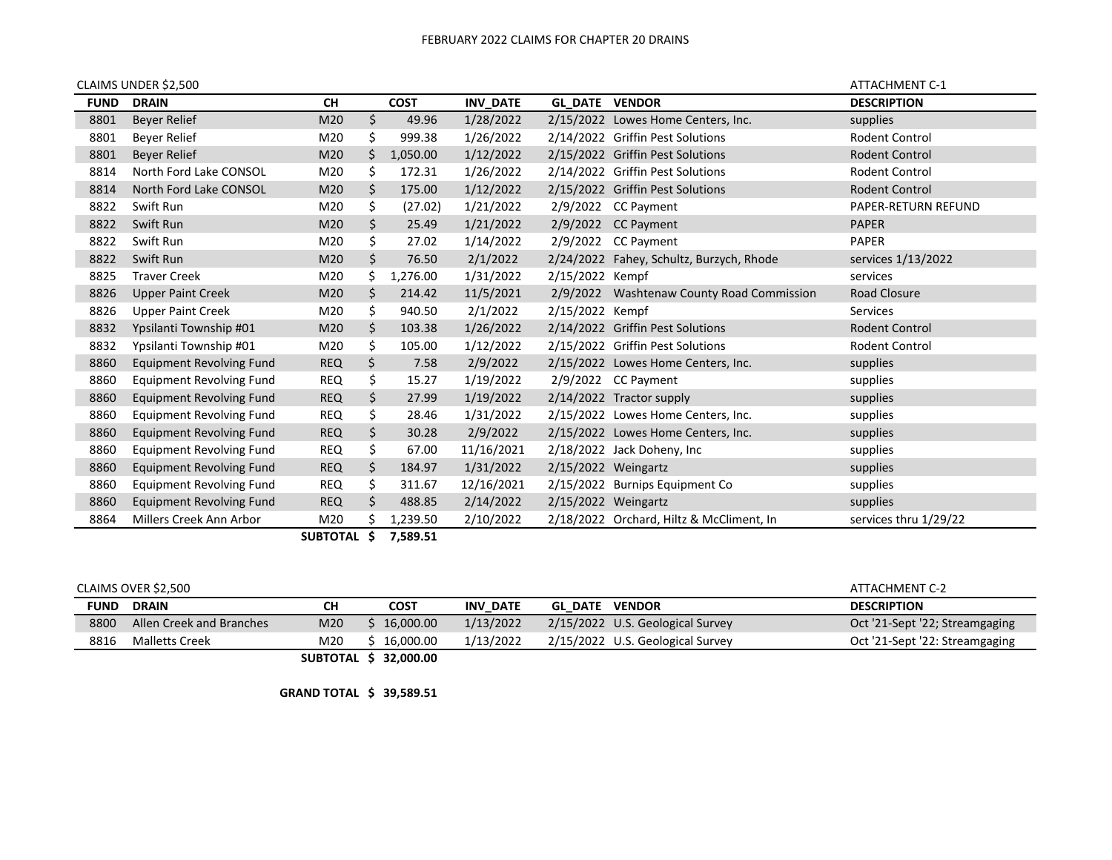|             | CLAIMS UNDER \$2,500            |             |     |               |                 |                       |                                           | <b>ATTACHMENT C-1</b> |
|-------------|---------------------------------|-------------|-----|---------------|-----------------|-----------------------|-------------------------------------------|-----------------------|
| <b>FUND</b> | <b>DRAIN</b>                    | <b>CH</b>   |     | <b>COST</b>   | <b>INV DATE</b> | <b>GL DATE VENDOR</b> |                                           | <b>DESCRIPTION</b>    |
| 8801        | Beyer Relief                    | M20         | \$  | 49.96         | 1/28/2022       |                       | 2/15/2022 Lowes Home Centers, Inc.        | supplies              |
| 8801        | Beyer Relief                    | M20         | \$  | 999.38        | 1/26/2022       |                       | 2/14/2022 Griffin Pest Solutions          | Rodent Control        |
| 8801        | <b>Beyer Relief</b>             | M20         | Ś.  | 1,050.00      | 1/12/2022       |                       | 2/15/2022 Griffin Pest Solutions          | <b>Rodent Control</b> |
| 8814        | North Ford Lake CONSOL          | M20         | S   | 172.31        | 1/26/2022       |                       | 2/14/2022 Griffin Pest Solutions          | Rodent Control        |
| 8814        | North Ford Lake CONSOL          | M20         | \$  | 175.00        | 1/12/2022       |                       | 2/15/2022 Griffin Pest Solutions          | Rodent Control        |
| 8822        | Swift Run                       | M20         | \$  | (27.02)       | 1/21/2022       |                       | 2/9/2022 CC Payment                       | PAPER-RETURN REFUND   |
| 8822        | Swift Run                       | M20         | \$  | 25.49         | 1/21/2022       |                       | $2/9/2022$ CC Payment                     | <b>PAPER</b>          |
| 8822        | Swift Run                       | M20         | \$. | 27.02         | 1/14/2022       |                       | $2/9/2022$ CC Payment                     | <b>PAPER</b>          |
| 8822        | Swift Run                       | M20         | \$. | 76.50         | 2/1/2022        |                       | 2/24/2022 Fahey, Schultz, Burzych, Rhode  | services 1/13/2022    |
| 8825        | <b>Traver Creek</b>             | M20         | \$. | 1,276.00      | 1/31/2022       | 2/15/2022 Kempf       |                                           | services              |
| 8826        | <b>Upper Paint Creek</b>        | M20         | \$  | 214.42        | 11/5/2021       |                       | 2/9/2022 Washtenaw County Road Commission | Road Closure          |
| 8826        | <b>Upper Paint Creek</b>        | M20         | \$  | 940.50        | 2/1/2022        | 2/15/2022 Kempf       |                                           | Services              |
| 8832        | Ypsilanti Township #01          | M20         | \$  | 103.38        | 1/26/2022       |                       | 2/14/2022 Griffin Pest Solutions          | Rodent Control        |
| 8832        | Ypsilanti Township #01          | M20         | \$  | 105.00        | 1/12/2022       |                       | 2/15/2022 Griffin Pest Solutions          | Rodent Control        |
| 8860        | <b>Equipment Revolving Fund</b> | <b>REQ</b>  | \$  | 7.58          | 2/9/2022        |                       | 2/15/2022 Lowes Home Centers, Inc.        | supplies              |
| 8860        | <b>Equipment Revolving Fund</b> | <b>REQ</b>  | \$. | 15.27         | 1/19/2022       |                       | 2/9/2022 CC Payment                       | supplies              |
| 8860        | <b>Equipment Revolving Fund</b> | <b>REQ</b>  | \$  | 27.99         | 1/19/2022       |                       | 2/14/2022 Tractor supply                  | supplies              |
| 8860        | <b>Equipment Revolving Fund</b> | <b>REQ</b>  | \$. | 28.46         | 1/31/2022       |                       | 2/15/2022 Lowes Home Centers, Inc.        | supplies              |
| 8860        | <b>Equipment Revolving Fund</b> | <b>REQ</b>  | \$. | 30.28         | 2/9/2022        |                       | 2/15/2022 Lowes Home Centers, Inc.        | supplies              |
| 8860        | <b>Equipment Revolving Fund</b> | <b>REQ</b>  | \$  | 67.00         | 11/16/2021      |                       | 2/18/2022 Jack Doheny, Inc                | supplies              |
| 8860        | <b>Equipment Revolving Fund</b> | <b>REQ</b>  | \$  | 184.97        | 1/31/2022       | 2/15/2022 Weingartz   |                                           | supplies              |
| 8860        | Equipment Revolving Fund        | <b>REQ</b>  | \$  | 311.67        | 12/16/2021      |                       | 2/15/2022 Burnips Equipment Co            | supplies              |
| 8860        | <b>Equipment Revolving Fund</b> | <b>REQ</b>  | \$. | 488.85        | 2/14/2022       | 2/15/2022 Weingartz   |                                           | supplies              |
| 8864        | Millers Creek Ann Arbor         | M20         |     | 1,239.50      | 2/10/2022       |                       | 2/18/2022 Orchard, Hiltz & McCliment, In  | services thru 1/29/22 |
|             |                                 | --------- * |     | $- - - - - -$ |                 |                       |                                           |                       |

**SUBTOTAL \$ 7,589.51**

| CLAIMS OVER \$2,500 |                          |     |                       |                 |                       | ATTACHMENT C-2                   |                                |
|---------------------|--------------------------|-----|-----------------------|-----------------|-----------------------|----------------------------------|--------------------------------|
| <b>FUND</b>         | <b>DRAIN</b>             | CН  | <b>COST</b>           | <b>INV DATE</b> | <b>GL DATE VENDOR</b> |                                  | <b>DESCRIPTION</b>             |
| 8800                | Allen Creek and Branches | M20 | 16,000.00             | 1/13/2022       |                       | 2/15/2022 U.S. Geological Survey | Oct '21-Sept '22; Streamgaging |
| 8816                | <b>Malletts Creek</b>    | M20 | 16.000.00             | 1/13/2022       |                       | 2/15/2022 U.S. Geological Survey | Oct '21-Sept '22: Streamgaging |
|                     |                          |     | SUBTOTAL \$ 32,000.00 |                 |                       |                                  |                                |

**GRAND TOTAL \$ 39,589.51**